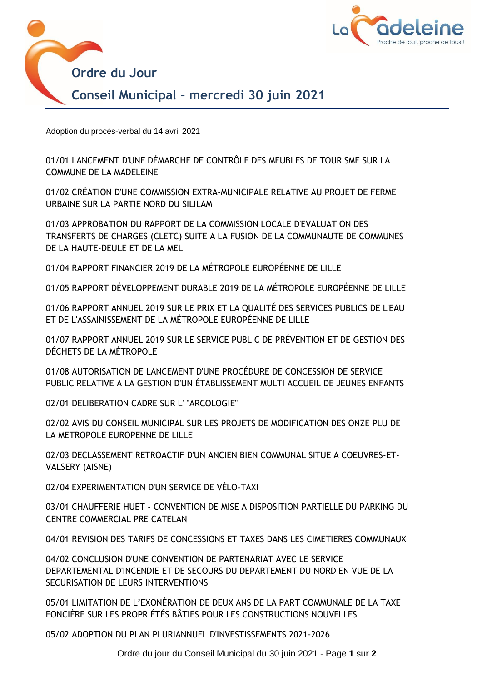



Adoption du procès-verbal du 14 avril 2021

01/01 LANCEMENT D'UNE DÉMARCHE DE CONTRÔLE DES MEUBLES DE TOURISME SUR LA 01701 LANCEMENT D'UNE DE<br>COMMUNE DE LA MADELEINE

01/02 CRÉATION D'UNE COMMISSION EXTRA-MUNICIPALE RELATIVE AU PROJET DE FERME URBAINE SUR LA PARTIE NORD DU SILILAM

01/03 APPROBATION DU RAPPORT DE LA COMMISSION LOCALE D'EVALUATION DES TRANSFERTS DE CHARGES (CLETC) SUITE A LA FUSION DE LA COMMUNAUTE DE COMMUNES DE LA HAUTE-DEULE ET DE LA MEL

01/04 RAPPORT FINANCIER 2019 DE LA MÉTROPOLE EUROPÉENNE DE LILLE

01/05 RAPPORT DÉVELOPPEMENT DURABLE 2019 DE LA MÉTROPOLE EUROPÉENNE DE LILLE

01/06 RAPPORT ANNUEL 2019 SUR LE PRIX ET LA QUALITÉ DES SERVICES PUBLICS DE L'EAU ET DE L'ASSAINISSEMENT DE LA MÉTROPOLE EUROPÉENNE DE LILLE

01/07 RAPPORT ANNUEL 2019 SUR LE SERVICE PUBLIC DE PRÉVENTION ET DE GESTION DES DÉCHETS DE LA MÉTROPOLE

01/08 AUTORISATION DE LANCEMENT D'UNE PROCÉDURE DE CONCESSION DE SERVICE PUBLIC RELATIVE A LA GESTION D'UN ÉTABLISSEMENT MULTI ACCUEIL DE JEUNES ENFANTS

02/01 DELIBERATION CADRE SUR L' "ARCOLOGIE"

02/02 AVIS DU CONSEIL MUNICIPAL SUR LES PROJETS DE MODIFICATION DES ONZE PLU DE LA METROPOLE EUROPENNE DE LILLE

02/03 DECLASSEMENT RETROACTIF D'UN ANCIEN BIEN COMMUNAL SITUE A COEUVRES-ET-VALSERY (AISNE)

02/04 EXPERIMENTATION D'UN SERVICE DE VÉLO-TAXI

03/01 CHAUFFERIE HUET - CONVENTION DE MISE A DISPOSITION PARTIELLE DU PARKING DU CENTRE COMMERCIAL PRE CATELAN

04/01 REVISION DES TARIFS DE CONCESSIONS ET TAXES DANS LES CIMETIERES COMMUNAUX

04/02 CONCLUSION D'UNE CONVENTION DE PARTENARIAT AVEC LE SERVICE DEPARTEMENTAL D'INCENDIE ET DE SECOURS DU DEPARTEMENT DU NORD EN VUE DE LA SECURISATION DE LEURS INTERVENTIONS

05/01 LIMITATION DE L'EXONÉRATION DE DEUX ANS DE LA PART COMMUNALE DE LA TAXE FONCIÈRE SUR LES PROPRIÉTÉS BÂTIES POUR LES CONSTRUCTIONS NOUVELLES

05/02 ADOPTION DU PLAN PLURIANNUEL D'INVESTISSEMENTS 2021-2026

Ordre du jour du Conseil Municipal du 30 juin 2021 - Page **1** sur **2**